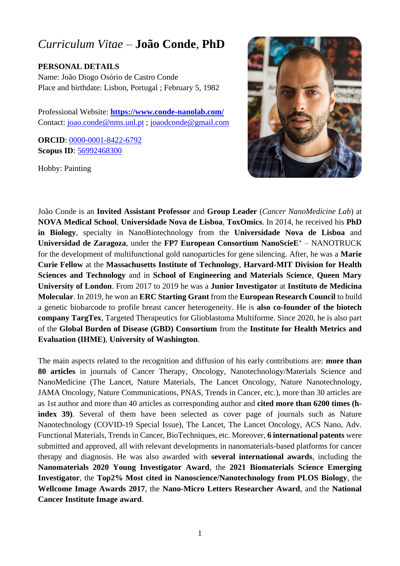# *Curriculum Vitae* – **João Conde**, **PhD**

**PERSONAL DETAILS**

Name: João Diogo Osório de Castro Conde Place and birthdate: Lisbon, Portugal ; February 5, 1982

Professional Website: **<https://www.conde-nanolab.com/>** Contact: [joao.conde@nms.unl.pt](mailto:joao.conde@nms.unl.pt) ; [joaodconde@gmail.com](mailto:joaodconde@gmail.com)

**ORCID**: [0000-0001-8422-6792](https://orcid.org/0000-0001-8422-6792) **Scopus ID**: [56992468300](http://www.56992468300.pt/)

Hobby: Painting



João Conde is an **Invited Assistant Professor** and **Group Leader** (*Cancer NanoMedicine Lab*) at **NOVA Medical School**, **Universidade Nova de Lisboa**, **ToxOmics**. In 2014, he received his **PhD in Biology**, specialty in NanoBiotechnology from the **Universidade Nova de Lisboa** and **Universidad de Zaragoza**, under the **FP7 European Consortium NanoScieE<sup>+</sup>** – NANOTRUCK for the development of multifunctional gold nanoparticles for gene silencing. After, he was a **Marie Curie Fellow** at the **Massachusetts Institute of Technology**, **Harvard-MIT Division for Health Sciences and Technology** and in **School of Engineering and Materials Science**, **Queen Mary University of London**. From 2017 to 2019 he was a **Junior Investigator** at **Instituto de Medicina Molecular**. In 2019, he won an **ERC Starting Grant** from the **European Research Council** to build a genetic biobarcode to profile breast cancer heterogeneity. He is **also co-founder of the biotech company TargTex**, Targeted Therapeutics for Glioblastoma Multiforme. Since 2020, he is also part of the **Global Burden of Disease (GBD) Consortium** from the **Institute for Health Metrics and Evaluation (IHME)**, **University of Washington**.

The main aspects related to the recognition and diffusion of his early contributions are: **more than 80 articles** in journals of Cancer Therapy, Oncology, Nanotechnology/Materials Science and NanoMedicine (The Lancet, Nature Materials, The Lancet Oncology, Nature Nanotechnology, JAMA Oncology, Nature Communications, PNAS, Trends in Cancer, etc.), more than 30 articles are as 1st author and more than 40 articles as corresponding author and **cited more than 6200 times (hindex 39)**. Several of them have been selected as cover page of journals such as Nature Nanotechnology (COVID-19 Special Issue), The Lancet, The Lancet Oncology, ACS Nano, Adv. Functional Materials, Trends in Cancer, BioTechniques, etc. Moreover, **6 international patents** were submitted and approved, all with relevant developments in nanomaterials-based platforms for cancer therapy and diagnosis. He was also awarded with **several international awards**, including the **Nanomaterials 2020 Young Investigator Award**, the **2021 Biomaterials Science Emerging Investigator**, the **Top2% Most cited in Nanoscience/Nanotechnology from PLOS Biology**, the **Wellcome Image Awards 2017**, the **Nano-Micro Letters Researcher Award**, and the **National Cancer Institute Image award**.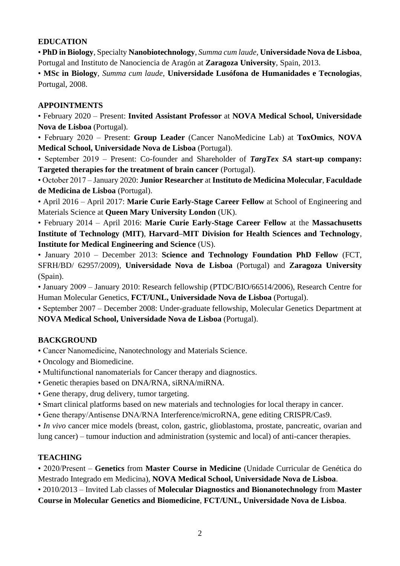#### **EDUCATION**

• **PhD in Biology**, Specialty **Nanobiotechnology**, *Summa cum laude*, **Universidade Nova de Lisboa**, Portugal and Instituto de Nanociencia de Aragón at **Zaragoza University**, Spain, 2013.

• **MSc in Biology**, *Summa cum laude*, **Universidade Lusófona de Humanidades e Tecnologias**, Portugal, 2008.

#### **APPOINTMENTS**

• February 2020 – Present: **Invited Assistant Professor** at **NOVA Medical School, Universidade Nova de Lisboa** (Portugal).

• February 2020 – Present: **Group Leader** (Cancer NanoMedicine Lab) at **ToxOmics**, **NOVA Medical School, Universidade Nova de Lisboa** (Portugal).

• September 2019 – Present: Co-founder and Shareholder of *TargTex SA* **start-up company: Targeted therapies for the treatment of brain cancer** (Portugal).

• October 2017 – January 2020: **Junior Researcher** at **Instituto de Medicina Molecular**, **Faculdade de Medicina de Lisboa** (Portugal).

• April 2016 – April 2017: **Marie Curie Early-Stage Career Fellow** at School of Engineering and Materials Science at **Queen Mary University London** (UK).

• February 2014 – April 2016: **Marie Curie Early-Stage Career Fellow** at the **Massachusetts Institute of Technology (MIT)**, **Harvard–MIT Division for Health Sciences and Technology**, **Institute for Medical Engineering and Science** (US).

• January 2010 – December 2013: **Science and Technology Foundation PhD Fellow** (FCT, SFRH/BD/ 62957/2009), **Universidade Nova de Lisboa** (Portugal) and **Zaragoza University**  (Spain).

• January 2009 – January 2010: Research fellowship (PTDC/BIO/66514/2006), Research Centre for Human Molecular Genetics, **FCT/UNL, Universidade Nova de Lisboa** (Portugal).

• September 2007 – December 2008: Under-graduate fellowship, Molecular Genetics Department at **NOVA Medical School, Universidade Nova de Lisboa** (Portugal).

# **BACKGROUND**

• Cancer Nanomedicine, Nanotechnology and Materials Science.

- Oncology and Biomedicine.
- Multifunctional nanomaterials for Cancer therapy and diagnostics.
- Genetic therapies based on DNA/RNA, siRNA/miRNA.
- Gene therapy, drug delivery, tumor targeting.
- Smart clinical platforms based on new materials and technologies for local therapy in cancer.
- Gene therapy/Antisense DNA/RNA Interference/microRNA, gene editing CRISPR/Cas9.

• *In vivo* cancer mice models (breast, colon, gastric, glioblastoma, prostate, pancreatic, ovarian and lung cancer) – tumour induction and administration (systemic and local) of anti-cancer therapies.

# **TEACHING**

• 2020/Present – **Genetics** from **Master Course in Medicine** (Unidade Curricular de Genética do Mestrado Integrado em Medicina), **NOVA Medical School, Universidade Nova de Lisboa**.

• 2010/2013 – Invited Lab classes of **Molecular Diagnostics and Bionanotechnology** from **Master** 

**Course in Molecular Genetics and Biomedicine**, **FCT/UNL, Universidade Nova de Lisboa**.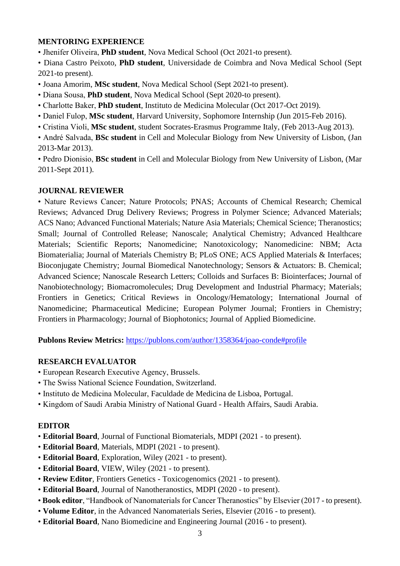#### **MENTORING EXPERIENCE**

• Jhenifer Oliveira, **PhD student**, Nova Medical School (Oct 2021-to present).

• Diana Castro Peixoto, **PhD student**, Universidade de Coimbra and Nova Medical School (Sept 2021-to present).

• Joana Amorim, **MSc student**, Nova Medical School (Sept 2021-to present).

• Diana Sousa, **PhD student**, Nova Medical School (Sept 2020-to present).

- Charlotte Baker, **PhD student**, Instituto de Medicina Molecular (Oct 2017-Oct 2019).
- Daniel Fulop, **MSc student**, Harvard University, Sophomore Internship (Jun 2015-Feb 2016).
- Cristina Violi, **MSc student**, student Socrates-Erasmus Programme Italy, (Feb 2013-Aug 2013).

• André Salvada, **BSc student** in Cell and Molecular Biology from New University of Lisbon, (Jan 2013-Mar 2013).

• Pedro Dionisio, **BSc student** in Cell and Molecular Biology from New University of Lisbon, (Mar 2011-Sept 2011).

#### **JOURNAL REVIEWER**

• Nature Reviews Cancer; Nature Protocols; PNAS; Accounts of Chemical Research; Chemical Reviews; Advanced Drug Delivery Reviews; Progress in Polymer Science; Advanced Materials; ACS Nano; Advanced Functional Materials; Nature Asia Materials; Chemical Science; Theranostics; Small; Journal of Controlled Release; Nanoscale; Analytical Chemistry; Advanced Healthcare Materials; Scientific Reports; Nanomedicine; Nanotoxicology; Nanomedicine: NBM; Acta Biomaterialia; Journal of Materials Chemistry B; PLoS ONE; ACS Applied Materials & Interfaces; Bioconjugate Chemistry; Journal Biomedical Nanotechnology; Sensors & Actuators: B. Chemical; Advanced Science; Nanoscale Research Letters; Colloids and Surfaces B: Biointerfaces; Journal of Nanobiotechnology; Biomacromolecules; Drug Development and Industrial Pharmacy; Materials; Frontiers in Genetics; Critical Reviews in Oncology/Hematology; International Journal of Nanomedicine; Pharmaceutical Medicine; European Polymer Journal; Frontiers in Chemistry; Frontiers in Pharmacology; Journal of Biophotonics; Journal of Applied Biomedicine.

**Publons Review Metrics:** <https://publons.com/author/1358364/joao-conde#profile>

# **RESEARCH EVALUATOR**

- European Research Executive Agency, Brussels.
- The Swiss National Science Foundation, Switzerland.
- Instituto de Medicina Molecular, Faculdade de Medicina de Lisboa, Portugal.
- Kingdom of Saudi Arabia Ministry of National Guard Health Affairs, Saudi Arabia.

#### **EDITOR**

- **Editorial Board**, Journal of Functional Biomaterials, MDPI (2021 to present).
- **Editorial Board**, Materials, MDPI (2021 to present).
- **Editorial Board**, Exploration, Wiley (2021 to present).
- **Editorial Board**, VIEW, Wiley (2021 to present).
- **Review Editor**, Frontiers Genetics Toxicogenomics (2021 to present).
- **Editorial Board**, Journal of Nanotheranostics, MDPI (2020 to present).
- **Book editor**, "Handbook of Nanomaterials for Cancer Theranostics" by Elsevier (2017 to present).
- **Volume Editor**, in the Advanced Nanomaterials Series, Elsevier (2016 to present).
- **Editorial Board**, Nano Biomedicine and Engineering Journal (2016 to present).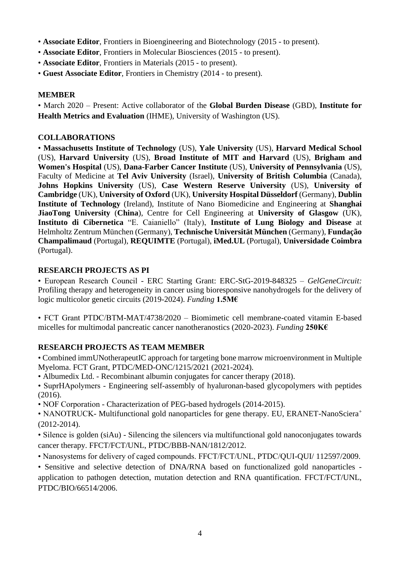- **Associate Editor**, Frontiers in Bioengineering and Biotechnology (2015 to present).
- **Associate Editor**, Frontiers in Molecular Biosciences (2015 to present).
- **Associate Editor**, Frontiers in Materials (2015 to present).
- **Guest Associate Editor**, Frontiers in Chemistry (2014 to present).

#### **MEMBER**

• March 2020 – Present: Active collaborator of the **Global Burden Disease** (GBD), **Institute for Health Metrics and Evaluation** (IHME), University of Washington (US).

#### **COLLABORATIONS**

• **Massachusetts Institute of Technology** (US), **Yale University** (US), **Harvard Medical School** (US), **Harvard University** (US), **Broad Institute of MIT and Harvard** (US), **Brigham and Women's Hospital** (US), **Dana-Farber Cancer Institute** (US), **University of Pennsylvania** (US), Faculty of Medicine at **Tel Aviv University** (Israel), **University of British Columbia** (Canada), **Johns Hopkins University** (US), **Case Western Reserve University** (US), **University of Cambridge** (UK), **University of Oxford** (UK), **University Hospital Düsseldorf** (Germany), **Dublin Institute of Technology** (Ireland), Institute of Nano Biomedicine and Engineering at **Shanghai JiaoTong University** (**China**), Centre for Cell Engineering at **University of Glasgow** (UK), **Instituto di Cibernetica** "E. Caianiello" (Italy), **Institute of Lung Biology and Disease** at Helmholtz Zentrum München (Germany), **Technische Universität München** (Germany), **Fundação Champalimaud** (Portugal), **REQUIMTE** (Portugal), **iMed.UL** (Portugal), **Universidade Coimbra** (Portugal).

#### **RESEARCH PROJECTS AS PI**

• European Research Council - ERC Starting Grant: ERC-StG-2019-848325 – *GelGeneCircuit:* Profiling therapy and heterogeneity in cancer using bioresponsive nanohydrogels for the delivery of logic multicolor genetic circuits (2019-2024). *Funding* **1.5M€**

• FCT Grant PTDC/BTM-MAT/4738/2020 – Biomimetic cell membrane-coated vitamin E-based micelles for multimodal pancreatic cancer nanotheranostics (2020-2023). *Funding* **250K€**

# **RESEARCH PROJECTS AS TEAM MEMBER**

• Combined immUNotherapeutIC approach for targeting bone marrow microenvironment in Multiple Myeloma. FCT Grant, PTDC/MED-ONC/1215/2021 (2021-2024).

• Albumedix Ltd. - Recombinant albumin conjugates for cancer therapy (2018).

• SuprHApolymers - Engineering self-assembly of hyaluronan-based glycopolymers with peptides (2016).

• NOF Corporation - Characterization of PEG-based hydrogels (2014-2015).

• NANOTRUCK- Multifunctional gold nanoparticles for gene therapy. EU, ERANET-NanoSciera<sup>+</sup> (2012-2014).

• Silence is golden (siAu) - Silencing the silencers via multifunctional gold nanoconjugates towards cancer therapy. FFCT/FCT/UNL, PTDC/BBB-NAN/1812/2012.

• Nanosystems for delivery of caged compounds. FFCT/FCT/UNL, PTDC/QUI-QUI/ 112597/2009.

• Sensitive and selective detection of DNA/RNA based on functionalized gold nanoparticles application to pathogen detection, mutation detection and RNA quantification. FFCT/FCT/UNL, PTDC/BIO/66514/2006.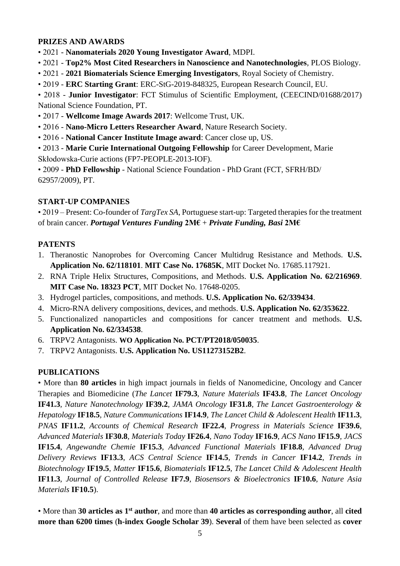#### **PRIZES AND AWARDS**

- 2021 **Nanomaterials 2020 Young Investigator Award**, MDPI.
- 2021 **Top2% Most Cited Researchers in Nanoscience and Nanotechnologies**, PLOS Biology.
- 2021 **2021 Biomaterials Science Emerging Investigators**, Royal Society of Chemistry.
- 2019 **ERC Starting Grant**: ERC-StG-2019-848325, European Research Council, EU.

• 2018 - **Junior Investigator**: FCT Stimulus of Scientific Employment, (CEECIND/01688/2017) National Science Foundation, PT.

- 2017 **Wellcome Image Awards 2017**: Wellcome Trust, UK.
- 2016 **Nano-Micro Letters Researcher Award**, Nature Research Society.
- 2016 **National Cancer Institute Image award**: Cancer close up, US.
- 2013 **Marie Curie International Outgoing Fellowship** for Career Development, Marie Skłodowska-Curie actions (FP7-PEOPLE-2013-IOF).

• 2009 - **PhD Fellowship** - National Science Foundation - PhD Grant (FCT, SFRH/BD/ 62957/2009), PT.

## **START-UP COMPANIES**

• 2019 – Present: Co-founder of *TargTex SA*, Portuguese start-up: Targeted therapies for the treatment of brain cancer. *Portugal Ventures Funding* **2M€** + *Private Funding, Basi* **2M€**

## **PATENTS**

- 1. Theranostic Nanoprobes for Overcoming Cancer Multidrug Resistance and Methods. **U.S. Application No. 62/118101**. **MIT Case No. 17685K**, MIT Docket No. 17685.117921.
- 2. RNA Triple Helix Structures, Compositions, and Methods. **U.S. Application No. 62/216969**. **MIT Case No. 18323 PCT**, MIT Docket No. 17648-0205.
- 3. Hydrogel particles, compositions, and methods. **U.S. Application No. 62/339434**.
- 4. Micro-RNA delivery compositions, devices, and methods. **U.S. Application No. 62/353622**.
- 5. Functionalized nanoparticles and compositions for cancer treatment and methods. **U.S. Application No. 62/334538**.
- 6. TRPV2 Antagonists. **WO Application No. PCT/PT2018/050035**.
- 7. TRPV2 Antagonists. **U.S. Application No. US11273152B2**.

# **PUBLICATIONS**

• More than **80 articles** in high impact journals in fields of Nanomedicine, Oncology and Cancer Therapies and Biomedicine (*The Lancet* **IF79.3**, *Nature Materials* **IF43.8***, The Lancet Oncology* **IF41.3***, Nature Nanotechnology* **IF39.2***, JAMA Oncology* **IF31.8***, The Lancet Gastroenterology & Hepatology* **IF18.5***, Nature Communications* **IF14.9***, The Lancet Child & Adolescent Health* **IF11.3**, *PNAS* **IF11.2***, Accounts of Chemical Research* **IF22.4**, *Progress in Materials Science* **IF39.6**, *Advanced Materials* **IF30.8***, Materials Today* **IF26.4***, Nano Today* **IF16.9**, *ACS Nano* **IF15.9***, JACS* **IF15.4**, *Angewandte Chemie* **IF15.3**, *Advanced Functional Materials* **IF18.8***, Advanced Drug Delivery Reviews* **IF13.3**, *ACS Central Science* **IF14.5***, Trends in Cancer* **IF14.2***, Trends in Biotechnology* **IF19.5***, Matter* **IF15.6**, *Biomaterials* **IF12.5***, The Lancet Child & Adolescent Health* **IF11.3**, *Journal of Controlled Release* **IF7.9***, Biosensors & Bioelectronics* **IF10.6***, Nature Asia Materials* **IF10.5**).

• More than **30 articles as 1st author**, and more than **40 articles as corresponding author**, all **cited more than 6200 times** (**h-index Google Scholar 39**). **Several** of them have been selected as **cover**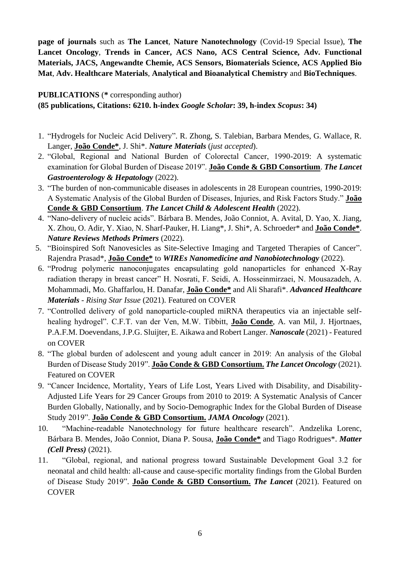**page of journals** such as **The Lancet**, **Nature Nanotechnology** (Covid-19 Special Issue), **The Lancet Oncology**, **Trends in Cancer, ACS Nano, ACS Central Science, Adv. Functional Materials, JACS, Angewandte Chemie, ACS Sensors, Biomaterials Science, ACS Applied Bio Mat**, **Adv. Healthcare Materials**, **Analytical and Bioanalytical Chemistry** and **BioTechniques**.

## **PUBLICATIONS** (**\*** corresponding author)

**(85 publications, Citations: 6210. h-index** *Google Scholar***: 39, h-index** *Scopus***: 34)**

- 1. "Hydrogels for Nucleic Acid Delivery". R. Zhong, S. Talebian, Barbara Mendes, G. Wallace, R. Langer, **João Conde\***, J. Shi\*. *Nature Materials* (*just accepted*).
- 2. "Global, Regional and National Burden of Colorectal Cancer, 1990-2019: A systematic examination for Global Burden of Disease 2019". **João Conde & GBD Consortium**. *The Lancet Gastroenterology & Hepatology* (2022).
- 3. "The burden of non-communicable diseases in adolescents in 28 European countries, 1990-2019: A Systematic Analysis of the Global Burden of Diseases, Injuries, and Risk Factors Study." **João Conde & GBD Consortium**. *The Lancet Child & Adolescent Health* (2022).
- 4. "Nano-delivery of nucleic acids". Bárbara B. Mendes, João Conniot, A. Avital, D. Yao, X. Jiang, X. Zhou, O. Adir, Y. Xiao, N. Sharf-Pauker, H. Liang\*, J. Shi\*, A. Schroeder\* and **João Conde\***. *Nature Reviews Methods Primers* (2022).
- 5. "Bioinspired Soft Nanovesicles as Site-Selective Imaging and Targeted Therapies of Cancer". Rajendra Prasad\*, **João Conde\*** to *WIREs Nanomedicine and Nanobiotechnology* (2022).
- 6. "Prodrug polymeric nanoconjugates encapsulating gold nanoparticles for enhanced X-Ray radiation therapy in breast cancer" H. Nosrati, F. Seidi, A. Hosseinmirzaei, N. Mousazadeh, A. Mohammadi, Mo. Ghaffarlou, H. Danafar, **João Conde\*** and Ali Sharafi\*. *Advanced Healthcare Materials* - *Rising Star Issue* (2021). Featured on COVER
- 7. "Controlled delivery of gold nanoparticle-coupled miRNA therapeutics via an injectable selfhealing hydrogel". C.F.T. van der Ven, M.W. Tibbitt, **João Conde**, A. van Mil, J. Hjortnaes, P.A.F.M. Doevendans, J.P.G. Sluijter, E. Aikawa and Robert Langer. *Nanoscale* (2021) - Featured on COVER
- 8. "The global burden of adolescent and young adult cancer in 2019: An analysis of the Global Burden of Disease Study 2019". **João Conde & GBD Consortium.** *The Lancet Oncology* (2021). Featured on COVER
- 9. "Cancer Incidence, Mortality, Years of Life Lost, Years Lived with Disability, and Disability-Adjusted Life Years for 29 Cancer Groups from 2010 to 2019: A Systematic Analysis of Cancer Burden Globally, Nationally, and by Socio-Demographic Index for the Global Burden of Disease Study 2019". **João Conde & GBD Consortium.** *JAMA Oncology* (2021).
- 10. "Machine-readable Nanotechnology for future healthcare research". Andzelika Lorenc, Bárbara B. Mendes, João Conniot, Diana P. Sousa, **João Conde\*** and Tiago Rodrigues\*. *Matter (Cell Press)* (2021).
- 11. "Global, regional, and national progress toward Sustainable Development Goal 3.2 for neonatal and child health: all-cause and cause-specific mortality findings from the Global Burden of Disease Study 2019". **João Conde & GBD Consortium.** *The Lancet* (2021). Featured on **COVER**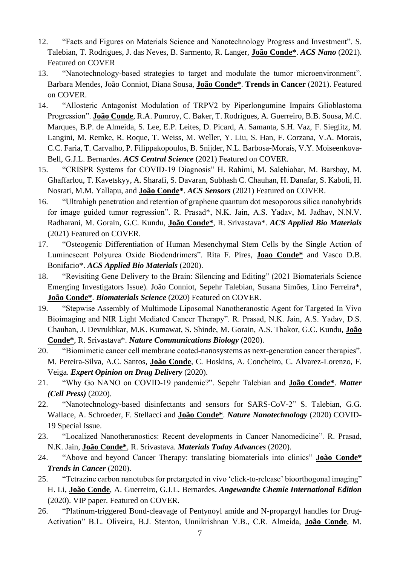- 12. "Facts and Figures on Materials Science and Nanotechnology Progress and Investment". S. Talebian, T. Rodrigues, J. das Neves, B. Sarmento, R. Langer, **João Conde\***. *ACS Nano* (2021). Featured on COVER
- 13. "Nanotechnology-based strategies to target and modulate the tumor microenvironment". Barbara Mendes, João Conniot, Diana Sousa, **João Conde\***. **Trends in Cancer** (2021). Featured on COVER.
- 14. "Allosteric Antagonist Modulation of TRPV2 by Piperlongumine Impairs Glioblastoma Progression". **João Conde**, R.A. Pumroy, C. Baker, T. Rodrigues, A. Guerreiro, B.B. Sousa, M.C. Marques, B.P. de Almeida, S. Lee, E.P. Leites, D. Picard, A. Samanta, S.H. Vaz, F. Sieglitz, M. Langini, M. Remke, R. Roque, T. Weiss, M. Weller, Y. Liu, S. Han, F. Corzana, V.A. Morais, C.C. Faria, T. Carvalho, P. Filippakopoulos, B. Snijder, N.L. Barbosa-Morais, V.Y. Moiseenkova-Bell, G.J.L. Bernardes. *ACS Central Science* (2021) Featured on COVER.
- 15. "CRISPR Systems for COVID-19 Diagnosis" H. Rahimi, M. Salehiabar, M. Barsbay, M. Ghaffarlou, T. Kavetskyy, A. Sharafi, S. Davaran, Subhash C. Chauhan, H. Danafar, S. Kaboli, H. Nosrati, M.M. Yallapu, and **João Conde\***. *ACS Sensors* (2021) Featured on COVER.
- 16. "Ultrahigh penetration and retention of graphene quantum dot mesoporous silica nanohybrids for image guided tumor regression". R. Prasad\*, N.K. Jain, A.S. Yadav, M. Jadhav, N.N.V. Radharani, M. Gorain, G.C. Kundu, **João Conde\***, R. Srivastava\*. *ACS Applied Bio Materials* (2021) Featured on COVER.
- 17. "Osteogenic Differentiation of Human Mesenchymal Stem Cells by the Single Action of Luminescent Polyurea Oxide Biodendrimers". Rita F. Pires, **Joao Conde\*** and Vasco D.B. Bonifacio\*. *ACS Applied Bio Materials* (2020).
- 18. "Revisiting Gene Delivery to the Brain: Silencing and Editing" (2021 Biomaterials Science Emerging Investigators Issue). João Conniot, Sepehr Talebian, Susana Simões, Lino Ferreira\*, **João Conde\***. *Biomaterials Science* (2020) Featured on COVER.
- 19. "Stepwise Assembly of Multimode Liposomal Nanotheranostic Agent for Targeted In Vivo Bioimaging and NIR Light Mediated Cancer Therapy". R. Prasad, N.K. Jain, A.S. Yadav, D.S. Chauhan, J. Devrukhkar, M.K. Kumawat, S. Shinde, M. Gorain, A.S. Thakor, G.C. Kundu, **João Conde\***, R. Srivastava\*. *Nature Communications Biology* (2020).
- 20. "Biomimetic cancer cell membrane coated-nanosystems as next-generation cancer therapies". M. Pereira-Silva, A.C. Santos, **João Conde**, C. Hoskins, A. Concheiro, C. Alvarez-Lorenzo, F. Veiga. *Expert Opinion on Drug Delivery* (2020).
- 21. "Why Go NANO on COVID-19 pandemic?". Sepehr Talebian and **João Conde\***. *Matter (Cell Press)* (2020).
- 22. "Nanotechnology-based disinfectants and sensors for SARS-CoV-2" S. Talebian, G.G. Wallace, A. Schroeder, F. Stellacci and **João Conde\***. *Nature Nanotechnology* (2020) COVID-19 Special Issue.
- 23. "Localized Nanotheranostics: Recent developments in Cancer Nanomedicine". R. Prasad, N.K. Jain, **João Conde\***, R. Srivastava. *Materials Today Advances* (2020).
- 24. "Above and beyond Cancer Therapy: translating biomaterials into clinics" **João Conde\***  *Trends in Cancer* (2020).
- 25. "Tetrazine carbon nanotubes for pretargeted in vivo 'click-to-release' bioorthogonal imaging" H. Li, **João Conde**, A. Guerreiro, G.J.L. Bernardes. *Angewandte Chemie International Edition* (2020). VIP paper. Featured on COVER.
- 26. "Platinum-triggered Bond-cleavage of Pentynoyl amide and N-propargyl handles for Drug-Activation" B.L. Oliveira, B.J. Stenton, Unnikrishnan V.B., C.R. Almeida, **João Conde**, M.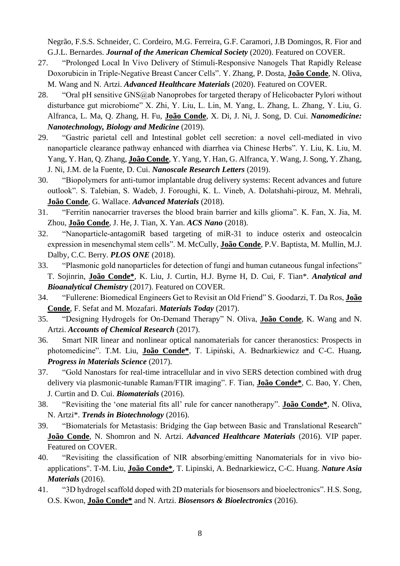Negrão, F.S.S. Schneider, C. Cordeiro, M.G. Ferreira, G.F. Caramori, J.B Domingos, R. Fior and G.J.L. Bernardes. *Journal of the American Chemical Society* (2020). Featured on COVER.

- 27. "Prolonged Local In Vivo Delivery of Stimuli‐Responsive Nanogels That Rapidly Release Doxorubicin in Triple‐Negative Breast Cancer Cells". Y. Zhang, P. Dosta, **João Conde**, N. Oliva, M. Wang and N. Artzi. *Advanced Healthcare Materials* (2020). Featured on COVER.
- 28. "Oral pH sensitive GNS@ab Nanoprobes for targeted therapy of Helicobacter Pylori without disturbance gut microbiome" X. Zhi, Y. Liu, L. Lin, M. Yang, L. Zhang, L. Zhang, Y. Liu, G. Alfranca, L. Ma, Q. Zhang, H. Fu, **João Conde**, X. Di, J. Ni, J. Song, D. Cui. *Nanomedicine: Nanotechnology, Biology and Medicine* (2019).
- 29. "Gastric parietal cell and Intestinal goblet cell secretion: a novel cell-mediated in vivo nanoparticle clearance pathway enhanced with diarrhea via Chinese Herbs". Y. Liu, K. Liu, M. Yang, Y. Han, Q. Zhang, **João Conde**, Y. Yang, Y. Han, G. Alfranca, Y. Wang, J. Song, Y. Zhang, J. Ni, J.M. de la Fuente, D. Cui. *Nanoscale Research Letters* (2019).
- 30. "Biopolymers for anti-tumor implantable drug delivery systems: Recent advances and future outlook". S. Talebian, S. Wadeb, J. Foroughi, K. L. Vineb, A. Dolatshahi-pirouz, M. Mehrali, **João Conde**, G. Wallace. *Advanced Materials* (2018).
- 31. "Ferritin nanocarrier traverses the blood brain barrier and kills glioma". K. Fan, X. Jia, M. Zhou, **João Conde**, J. He, J. Tian, X. Yan. *ACS Nano* (2018).
- 32. "Nanoparticle-antagomiR based targeting of miR-31 to induce osterix and osteocalcin expression in mesenchymal stem cells". M. McCully, **João Conde**, P.V. Baptista, M. Mullin, M.J. Dalby, C.C. Berry. *PLOS ONE* (2018).
- 33. "Plasmonic gold nanoparticles for detection of fungi and human cutaneous fungal infections" T. Sojinrin, **João Conde\***, K. Liu, J. Curtin, H.J. Byrne H, D. Cui, F. Tian\*. *Analytical and Bioanalytical Chemistry* (2017). Featured on COVER.
- 34. "Fullerene: Biomedical Engineers Get to Revisit an Old Friend" S. Goodarzi, T. Da Ros, **João Conde**, F. Sefat and M. Mozafari. *Materials Today* (2017).
- 35. "Designing Hydrogels for On-Demand Therapy" N. Oliva, **João Conde**, K. Wang and N. Artzi. *Accounts of Chemical Research* (2017).
- 36. Smart NIR linear and nonlinear optical nanomaterials for cancer theranostics: Prospects in photomedicine". T.M. Liu, **João Conde\***, T. Lipiński, A. Bednarkiewicz and C-C. Huang*. Progress in Materials Science* (2017).
- 37. "Gold Nanostars for real-time intracellular and in vivo SERS detection combined with drug delivery via plasmonic-tunable Raman/FTIR imaging". F. Tian, **João Conde\***, C. Bao, Y. Chen, J. Curtin and D. Cui. *Biomaterials* (2016).
- 38. "Revisiting the 'one material fits all' rule for cancer nanotherapy". **João Conde\***, N. Oliva, N. Artzi\*. *Trends in Biotechnology* (2016).
- 39. "Biomaterials for Metastasis: Bridging the Gap between Basic and Translational Research" **João Conde**, N. Shomron and N. Artzi. *Advanced Healthcare Materials* (2016). VIP paper. Featured on COVER.
- 40. "Revisiting the classification of NIR absorbing/emitting Nanomaterials for in vivo bioapplications". T-M. Liu, **João Conde\***, T. Lipinski, A. Bednarkiewicz, C-C. Huang. *Nature Asia Materials* (2016).
- 41. "3D hydrogel scaffold doped with 2D materials for biosensors and bioelectronics". H.S. Song, O.S. Kwon, **João Conde\*** and N. Artzi. *Biosensors & Bioelectronics* (2016).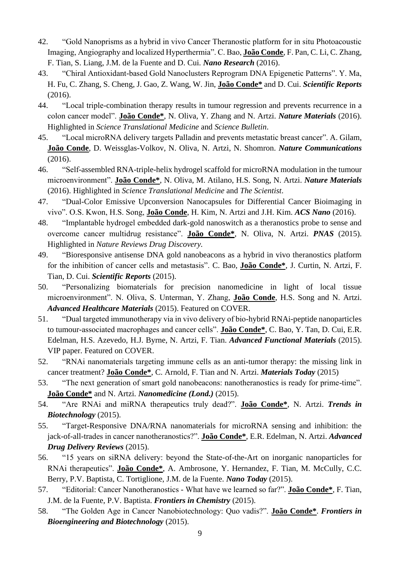- 42. "Gold Nanoprisms as a hybrid in vivo Cancer Theranostic platform for in situ Photoacoustic Imaging, Angiography and localized Hyperthermia". C. Bao, **João Conde**, F. Pan, C. Li, C. Zhang, F. Tian, S. Liang, J.M. de la Fuente and D. Cui. *Nano Research* (2016).
- 43. "Chiral Antioxidant-based Gold Nanoclusters Reprogram DNA Epigenetic Patterns". Y. Ma, H. Fu, C. Zhang, S. Cheng, J. Gao, Z. Wang, W. Jin, **João Conde\*** and D. Cui. *Scientific Reports* (2016).
- 44. "Local triple-combination therapy results in tumour regression and prevents recurrence in a colon cancer model". **João Conde\***, N. Oliva, Y. Zhang and N. Artzi. *Nature Materials* (2016). Highlighted in *Science Translational Medicine* and *Science Bulletin*.
- 45. "Local microRNA delivery targets Palladin and prevents metastatic breast cancer". A. Gilam, **João Conde**, D. Weissglas-Volkov, N. Oliva, N. Artzi, N. Shomron. *Nature Communications* (2016).
- 46. "Self-assembled RNA-triple-helix hydrogel scaffold for microRNA modulation in the tumour microenvironment". **João Conde\***, N. Oliva, M. Atilano, H.S. Song, N. Artzi. *Nature Materials* (2016). Highlighted in *Science Translational Medicine* and *The Scientist*.
- 47. "Dual-Color Emissive Upconversion Nanocapsules for Differential Cancer Bioimaging in vivo". O.S. Kwon, H.S. Song, **João Conde**, H. Kim, N. Artzi and J.H. Kim. *ACS Nano* (2016).
- 48. "Implantable hydrogel embedded dark-gold nanoswitch as a theranostics probe to sense and overcome cancer multidrug resistance". **João Conde\***, N. Oliva, N. Artzi. *PNAS* (2015). Highlighted in *Nature Reviews Drug Discovery.*
- 49. "Bioresponsive antisense DNA gold nanobeacons as a hybrid in vivo theranostics platform for the inhibition of cancer cells and metastasis". C. Bao, **João Conde\***, J. Curtin, N. Artzi, F. Tian, D. Cui. *Scientific Reports* (2015).
- 50. "Personalizing biomaterials for precision nanomedicine in light of local tissue microenvironment". N. Oliva, S. Unterman, Y. Zhang, **João Conde**, H.S. Song and N. Artzi. *Advanced Healthcare Materials* (2015). Featured on COVER.
- 51. "Dual targeted immunotherapy via in vivo delivery of bio-hybrid RNAi-peptide nanoparticles to tumour-associated macrophages and cancer cells". **João Conde\***, C. Bao, Y. Tan, D. Cui, E.R. Edelman, H.S. Azevedo, H.J. Byrne, N. Artzi, F. Tian. *Advanced Functional Materials* (2015). VIP paper. Featured on COVER.
- 52. "RNAi nanomaterials targeting immune cells as an anti-tumor therapy: the missing link in cancer treatment? **João Conde\***, C. Arnold, F. Tian and N. Artzi. *Materials Today* (2015)
- 53. "The next generation of smart gold nanobeacons: nanotheranostics is ready for prime-time". **João Conde\*** and N. Artzi. *Nanomedicine (Lond.)* (2015).
- 54. "Are RNAi and miRNA therapeutics truly dead?". **João Conde\***, N. Artzi. *Trends in Biotechnology* (2015).
- 55. "Target-Responsive DNA/RNA nanomaterials for microRNA sensing and inhibition: the jack-of-all-trades in cancer nanotheranostics?". **João Conde\***, E.R. Edelman, N. Artzi. *Advanced Drug Delivery Reviews* (2015).
- 56. "15 years on siRNA delivery: beyond the State-of-the-Art on inorganic nanoparticles for RNAi therapeutics". **João Conde\***, A. Ambrosone, Y. Hernandez, F. Tian, M. McCully, C.C. Berry, P.V. Baptista, C. Tortiglione, J.M. de la Fuente. *Nano Today* (2015).
- 57. "Editorial: Cancer Nanotheranostics What have we learned so far?". **João Conde\***, F. Tian, J.M. de la Fuente, P.V. Baptista. *Frontiers in Chemistry* (2015).
- 58. "The Golden Age in Cancer Nanobiotechnology: Quo vadis?". **João Conde\***. *Frontiers in Bioengineering and Biotechnology* (2015).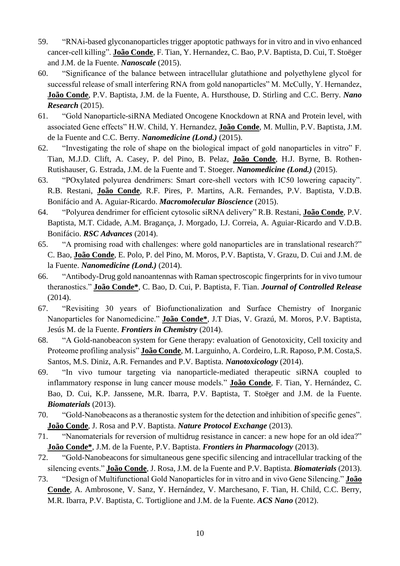- 59. "RNAi-based glyconanoparticles trigger apoptotic pathways for in vitro and in vivo enhanced cancer-cell killing". **João Conde**, F. Tian, Y. Hernandez, C. Bao, P.V. Baptista, D. Cui, T. Stoëger and J.M. de la Fuente. *Nanoscale* (2015).
- 60. "Significance of the balance between intracellular glutathione and polyethylene glycol for successful release of small interfering RNA from gold nanoparticles" M. McCully, Y. Hernandez, **João Conde**, P.V. Baptista, J.M. de la Fuente, A. Hursthouse, D. Stirling and C.C. Berry. *Nano Research* (2015).
- 61. "Gold Nanoparticle-siRNA Mediated Oncogene Knockdown at RNA and Protein level, with associated Gene effects" H.W. Child, Y. Hernandez, **João Conde**, M. Mullin, P.V. Baptista, J.M. de la Fuente and C.C. Berry. *Nanomedicine (Lond.)* (2015).
- 62. "Investigating the role of shape on the biological impact of gold nanoparticles in vitro" F. Tian, M.J.D. Clift, A. Casey, P. del Pino, B. Pelaz, **João Conde**, H.J. Byrne, B. Rothen-Rutishauser, G. Estrada, J.M. de la Fuente and T. Stoeger. *Nanomedicine (Lond.)* (2015).
- 63. "POxylated polyurea dendrimers: Smart core-shell vectors with IC50 lowering capacity". R.B. Restani, **João Conde**, R.F. Pires, P. Martins, A.R. Fernandes, P.V. Baptista, V.D.B. Bonifácio and A. Aguiar-Ricardo. *Macromolecular Bioscience* (2015).
- 64. "Polyurea dendrimer for efficient cytosolic siRNA delivery" R.B. Restani, **João Conde**, P.V. Baptista, M.T. Cidade, A.M. Bragança, J. Morgado, I.J. Correia, A. Aguiar-Ricardo and V.D.B. Bonifácio. *RSC Advances* (2014).
- 65. "A promising road with challenges: where gold nanoparticles are in translational research?" C. Bao, **João Conde**, E. Polo, P. del Pino, M. Moros, P.V. Baptista, V. Grazu, D. Cui and J.M. de la Fuente. *Nanomedicine (Lond.)* (2014).
- 66. "Antibody-Drug gold nanoantennas with Raman spectroscopic fingerprints for in vivo tumour theranostics." **João Conde\***, C. Bao, D. Cui, P. Baptista, F. Tian. *Journal of Controlled Release* (2014).
- 67. "Revisiting 30 years of Biofunctionalization and Surface Chemistry of Inorganic Nanoparticles for Nanomedicine." **João Conde\***, J.T Dias, V. Grazú, M. Moros, P.V. Baptista, Jesús M. de la Fuente. *Frontiers in Chemistry* (2014).
- 68. "A Gold-nanobeacon system for Gene therapy: evaluation of Genotoxicity, Cell toxicity and Proteome profiling analysis" **João Conde**, M. Larguinho, A. Cordeiro, L.R. Raposo, P.M. Costa,S. Santos, M.S. Diniz, A.R. Fernandes and P.V. Baptista. *Nanotoxicology* (2014).
- 69. "In vivo tumour targeting via nanoparticle-mediated therapeutic siRNA coupled to inflammatory response in lung cancer mouse models." **João Conde**, F. Tian, Y. Hernández, C. Bao, D. Cui, K.P. Janssene, M.R. Ibarra, P.V. Baptista, T. Stoëger and J.M. de la Fuente. *Biomaterials* (2013).
- 70. "Gold-Nanobeacons as a theranostic system for the detection and inhibition of specific genes". **João Conde**, J. Rosa and P.V. Baptista. *Nature Protocol Exchange* (2013).
- 71. "Nanomaterials for reversion of multidrug resistance in cancer: a new hope for an old idea?" **João Conde\***, J.M. de la Fuente, P.V. Baptista. *Frontiers in Pharmacology* (2013).
- 72. "Gold-Nanobeacons for simultaneous gene specific silencing and intracellular tracking of the silencing events." **João Conde**, J. Rosa, J.M. de la Fuente and P.V. Baptista. *Biomaterials* (2013).
- 73. "Design of Multifunctional Gold Nanoparticles for in vitro and in vivo Gene Silencing." **João Conde**, A. Ambrosone, V. Sanz, Y. Hernández, V. Marchesano, F. Tian, H. Child, C.C. Berry, M.R. Ibarra, P.V. Baptista, C. Tortiglione and J.M. de la Fuente. *ACS Nano* (2012).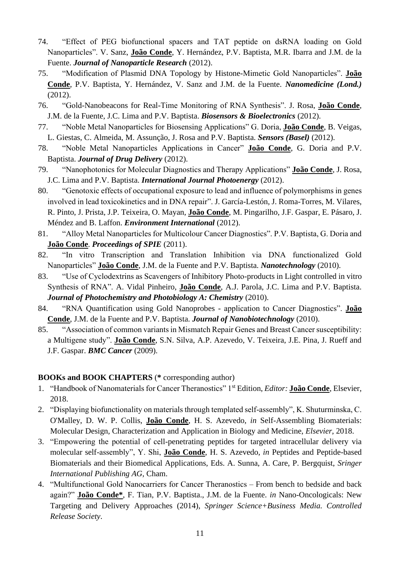- 74. "Effect of PEG biofunctional spacers and TAT peptide on dsRNA loading on Gold Nanoparticles". V. Sanz, **João Conde**, Y. Hernández, P.V. Baptista, M.R. Ibarra and J.M. de la Fuente. *Journal of Nanoparticle Research* (2012).
- 75. "Modification of Plasmid DNA Topology by Histone-Mimetic Gold Nanoparticles". **João Conde**, P.V. Baptista, Y. Hernández, V. Sanz and J.M. de la Fuente. *Nanomedicine (Lond.)*  (2012).
- 76. "Gold-Nanobeacons for Real-Time Monitoring of RNA Synthesis". J. Rosa, **João Conde**, J.M. de la Fuente, J.C. Lima and P.V. Baptista. *Biosensors & Bioelectronics* (2012).
- 77. "Noble Metal Nanoparticles for Biosensing Applications" G. Doria, **João Conde**, B. Veigas, L. Giestas, C. Almeida, M. Assunção, J. Rosa and P.V. Baptista. *Sensors (Basel)* (2012).
- 78. "Noble Metal Nanoparticles Applications in Cancer" **João Conde**, G. Doria and P.V. Baptista. *Journal of Drug Delivery* (2012).
- 79. "Nanophotonics for Molecular Diagnostics and Therapy Applications" **João Conde**, J. Rosa, J.C. Lima and P.V. Baptista. *International Journal Photoenergy* (2012).
- 80. "Genotoxic effects of occupational exposure to lead and influence of polymorphisms in genes involved in lead toxicokinetics and in DNA repair". J. García-Lestón, J. Roma-Torres, M. Vilares, R. Pinto, J. Prista, J.P. Teixeira, O. Mayan, **João Conde**, M. Pingarilho, J.F. Gaspar, E. Pásaro, J. Méndez and B. Laffon. *Environment International* (2012).
- 81. "Alloy Metal Nanoparticles for Multicolour Cancer Diagnostics". P.V. Baptista, G. Doria and **João Conde**. *Proceedings of SPIE* (2011).
- 82. "In vitro Transcription and Translation Inhibition via DNA functionalized Gold Nanoparticles" **João Conde**, J.M. de la Fuente and P.V. Baptista. *Nanotechnology* (2010).
- 83. "Use of Cyclodextrins as Scavengers of Inhibitory Photo-products in Light controlled in vitro Synthesis of RNA". A. Vidal Pinheiro, **João Conde**, A.J. Parola, J.C. Lima and P.V. Baptista. *Journal of Photochemistry and Photobiology A: Chemistry* (2010).
- 84. "RNA Quantification using Gold Nanoprobes application to Cancer Diagnostics". **João Conde**, J.M. de la Fuente and P.V. Baptista. *Journal of Nanobiotechnology* (2010).
- 85. "Association of common variants in Mismatch Repair Genes and Breast Cancer susceptibility: a Multigene study". **João Conde**, S.N. Silva, A.P. Azevedo, V. Teixeira, J.E. Pina, J. Rueff and J.F. Gaspar. *BMC Cancer* (2009).

#### **BOOKs and BOOK CHAPTERS** (**\*** corresponding author)

- 1. "Handbook of Nanomaterials for Cancer Theranostics" 1st Edition, *Editor:* **João Conde**, Elsevier, 2018.
- 2. "Displaying biofunctionality on materials through templated self-assembly", K. Shuturminska, C. O'Malley, D. W. P. Collis, **João Conde**, H. S. Azevedo, *in* Self-Assembling Biomaterials: Molecular Design, Characterization and Application in Biology and Medicine, *Elsevier*, 2018.
- 3. "Empowering the potential of cell-penetrating peptides for targeted intracellular delivery via molecular self-assembly", Y. Shi, **João Conde**, H. S. Azevedo, *in* Peptides and Peptide-based Biomaterials and their Biomedical Applications, Eds. A. Sunna, A. Care, P. Bergquist, *Sringer International Publishing AG*, Cham.
- 4. "Multifunctional Gold Nanocarriers for Cancer Theranostics From bench to bedside and back again?" **João Conde\***, F. Tian, P.V. Baptista., J.M. de la Fuente. *in* Nano-Oncologicals: New Targeting and Delivery Approaches (2014), *Springer Science+Business Media. Controlled Release Society*.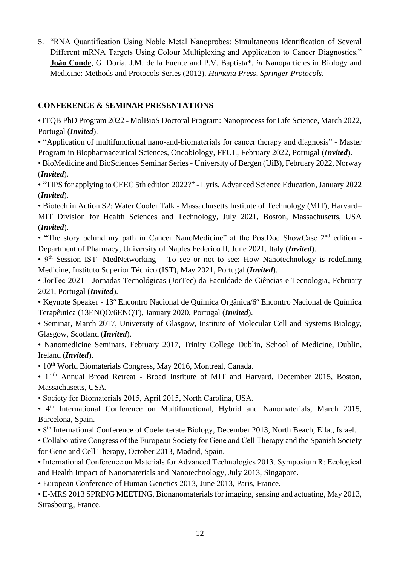5. "RNA Quantification Using Noble Metal Nanoprobes: Simultaneous Identification of Several Different mRNA Targets Using Colour Multiplexing and Application to Cancer Diagnostics." **João Conde**, G. Doria, J.M. de la Fuente and P.V. Baptista\*. *in* Nanoparticles in Biology and Medicine: Methods and Protocols Series (2012). *Humana Press, Springer Protocols*.

## **CONFERENCE & SEMINAR PRESENTATIONS**

• ITQB PhD Program 2022 - MolBioS Doctoral Program: Nanoprocess for Life Science, March 2022, Portugal (*Invited*).

• "Application of multifunctional nano-and-biomaterials for cancer therapy and diagnosis" - Master Program in Biopharmaceutical Sciences, Oncobiology, FFUL, February 2022, Portugal (*Invited*).

• BioMedicine and BioSciences Seminar Series - University of Bergen (UiB), February 2022, Norway (*Invited*).

• "TIPS for applying to CEEC 5th edition 2022?" - Lyris, Advanced Science Education, January 2022 (*Invited*).

• Biotech in Action S2: Water Cooler Talk - Massachusetts Institute of Technology (MIT), Harvard– MIT Division for Health Sciences and Technology, July 2021, Boston, Massachusetts, USA (*Invited*).

• "The story behind my path in Cancer NanoMedicine" at the PostDoc ShowCase 2<sup>nd</sup> edition -Department of Pharmacy, University of Naples Federico II, June 2021, Italy (*Invited*).

•  $9<sup>th</sup>$  Session IST- MedNetworking – To see or not to see: How Nanotechnology is redefining Medicine, Instituto Superior Técnico (IST), May 2021, Portugal (*Invited*).

• JorTec 2021 - Jornadas Tecnológicas (JorTec) da Faculdade de Ciências e Tecnologia, February 2021, Portugal (*Invited*).

• Keynote Speaker - 13º Encontro Nacional de Química Orgânica/6º Encontro Nacional de Química Terapêutica (13ENQO/6ENQT), January 2020, Portugal (*Invited*).

• Seminar, March 2017, University of Glasgow, Institute of Molecular Cell and Systems Biology, Glasgow, Scotland (*Invited*).

• Nanomedicine Seminars, February 2017, Trinity College Dublin, School of Medicine, Dublin, Ireland (*Invited*).

• 10<sup>th</sup> World Biomaterials Congress, May 2016, Montreal, Canada.

• 11<sup>th</sup> Annual Broad Retreat - Broad Institute of MIT and Harvard, December 2015, Boston, Massachusetts, USA.

• Society for Biomaterials 2015, April 2015, North Carolina, USA.

• 4<sup>th</sup> International Conference on Multifunctional, Hybrid and Nanomaterials, March 2015, Barcelona, Spain.

• 8th International Conference of Coelenterate Biology, December 2013, North Beach, Eilat, Israel.

• Collaborative Congress of the European Society for Gene and Cell Therapy and the Spanish Society for Gene and Cell Therapy, October 2013, Madrid, Spain.

• International Conference on Materials for Advanced Technologies 2013. Symposium R: Ecological and Health Impact of Nanomaterials and Nanotechnology, July 2013, Singapore.

• European Conference of Human Genetics 2013, June 2013, Paris, France.

• E-MRS 2013 SPRING MEETING, Bionanomaterials for imaging, sensing and actuating, May 2013, Strasbourg, France.